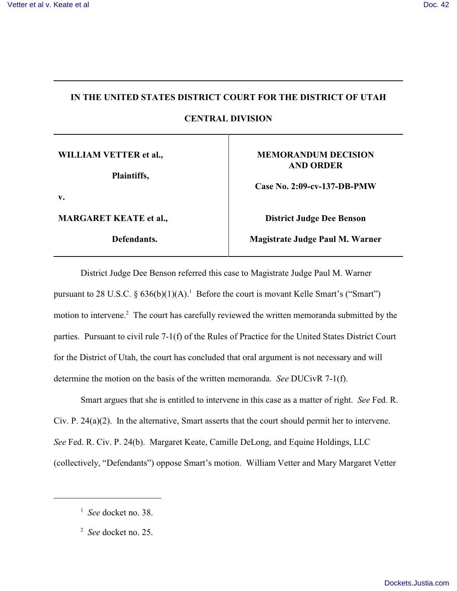### **IN THE UNITED STATES DISTRICT COURT FOR THE DISTRICT OF UTAH**

**CENTRAL DIVISION**

**WILLIAM VETTER et al.,** 

**Plaintiffs,**

**v.** 

**MARGARET KEATE et al.,**

**Defendants.**

## **MEMORANDUM DECISION AND ORDER**

**Case No. 2:09-cv-137-DB-PMW**

**District Judge Dee Benson**

**Magistrate Judge Paul M. Warner**

District Judge Dee Benson referred this case to Magistrate Judge Paul M. Warner pursuant to 28 U.S.C. §  $636(b)(1)(A)$ .<sup>1</sup> Before the court is movant Kelle Smart's ("Smart") motion to intervene.<sup>2</sup> The court has carefully reviewed the written memoranda submitted by the parties. Pursuant to civil rule 7-1(f) of the Rules of Practice for the United States District Court for the District of Utah, the court has concluded that oral argument is not necessary and will determine the motion on the basis of the written memoranda. *See* DUCivR 7-1(f).

Smart argues that she is entitled to intervene in this case as a matter of right. *See* Fed. R. Civ. P. 24(a)(2). In the alternative, Smart asserts that the court should permit her to intervene. *See* Fed. R. Civ. P. 24(b). Margaret Keate, Camille DeLong, and Equine Holdings, LLC (collectively, "Defendants") oppose Smart's motion. William Vetter and Mary Margaret Vetter

 $\frac{1}{2}$  *See* docket no. 38.

<sup>&</sup>lt;sup>2</sup> *See* docket no. 25.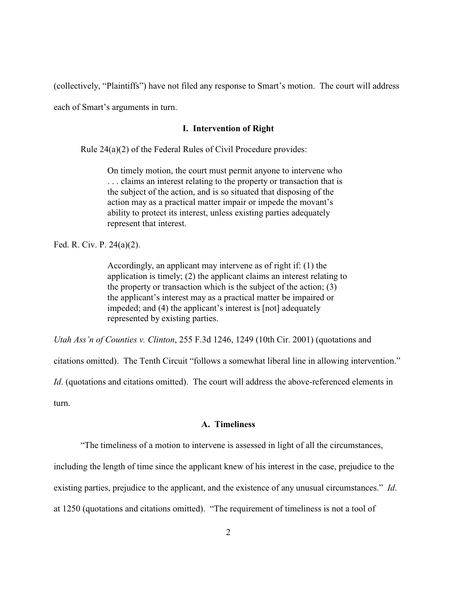(collectively, "Plaintiffs") have not filed any response to Smart's motion. The court will address

each of Smart's arguments in turn.

## **I. Intervention of Right**

Rule 24(a)(2) of the Federal Rules of Civil Procedure provides:

On timely motion, the court must permit anyone to intervene who . . . claims an interest relating to the property or transaction that is the subject of the action, and is so situated that disposing of the action may as a practical matter impair or impede the movant's ability to protect its interest, unless existing parties adequately represent that interest.

Fed. R. Civ. P. 24(a)(2).

Accordingly, an applicant may intervene as of right if: (1) the application is timely; (2) the applicant claims an interest relating to the property or transaction which is the subject of the action; (3) the applicant's interest may as a practical matter be impaired or impeded; and (4) the applicant's interest is [not] adequately represented by existing parties.

*Utah Ass'n of Counties v. Clinton*, 255 F.3d 1246, 1249 (10th Cir. 2001) (quotations and

citations omitted). The Tenth Circuit "follows a somewhat liberal line in allowing intervention."

*Id.* (quotations and citations omitted). The court will address the above-referenced elements in turn.

### **A. Timeliness**

"The timeliness of a motion to intervene is assessed in light of all the circumstances,

including the length of time since the applicant knew of his interest in the case, prejudice to the

existing parties, prejudice to the applicant, and the existence of any unusual circumstances." *Id*.

at 1250 (quotations and citations omitted). "The requirement of timeliness is not a tool of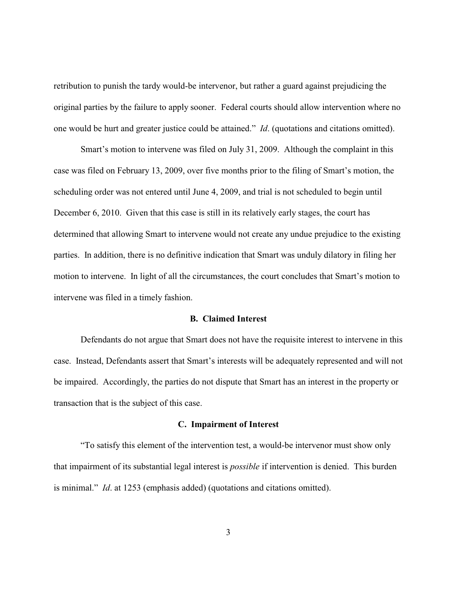retribution to punish the tardy would-be intervenor, but rather a guard against prejudicing the original parties by the failure to apply sooner. Federal courts should allow intervention where no one would be hurt and greater justice could be attained." *Id*. (quotations and citations omitted).

Smart's motion to intervene was filed on July 31, 2009. Although the complaint in this case was filed on February 13, 2009, over five months prior to the filing of Smart's motion, the scheduling order was not entered until June 4, 2009, and trial is not scheduled to begin until December 6, 2010. Given that this case is still in its relatively early stages, the court has determined that allowing Smart to intervene would not create any undue prejudice to the existing parties. In addition, there is no definitive indication that Smart was unduly dilatory in filing her motion to intervene. In light of all the circumstances, the court concludes that Smart's motion to intervene was filed in a timely fashion.

## **B. Claimed Interest**

Defendants do not argue that Smart does not have the requisite interest to intervene in this case. Instead, Defendants assert that Smart's interests will be adequately represented and will not be impaired. Accordingly, the parties do not dispute that Smart has an interest in the property or transaction that is the subject of this case.

#### **C. Impairment of Interest**

"To satisfy this element of the intervention test, a would-be intervenor must show only that impairment of its substantial legal interest is *possible* if intervention is denied. This burden is minimal." *Id*. at 1253 (emphasis added) (quotations and citations omitted).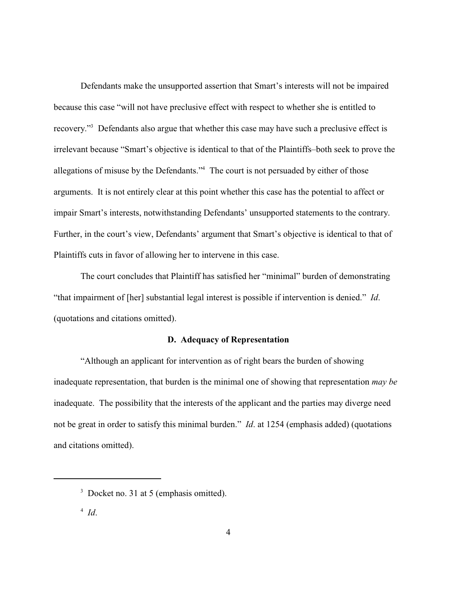Defendants make the unsupported assertion that Smart's interests will not be impaired because this case "will not have preclusive effect with respect to whether she is entitled to recovery."<sup>3</sup> Defendants also argue that whether this case may have such a preclusive effect is irrelevant because "Smart's objective is identical to that of the Plaintiffs–both seek to prove the allegations of misuse by the Defendants."<sup>4</sup> The court is not persuaded by either of those arguments. It is not entirely clear at this point whether this case has the potential to affect or impair Smart's interests, notwithstanding Defendants' unsupported statements to the contrary. Further, in the court's view, Defendants' argument that Smart's objective is identical to that of Plaintiffs cuts in favor of allowing her to intervene in this case.

The court concludes that Plaintiff has satisfied her "minimal" burden of demonstrating "that impairment of [her] substantial legal interest is possible if intervention is denied." *Id*. (quotations and citations omitted).

### **D. Adequacy of Representation**

"Although an applicant for intervention as of right bears the burden of showing inadequate representation, that burden is the minimal one of showing that representation *may be* inadequate. The possibility that the interests of the applicant and the parties may diverge need not be great in order to satisfy this minimal burden." *Id*. at 1254 (emphasis added) (quotations and citations omitted).

 $3$  Docket no. 31 at 5 (emphasis omitted).

<sup>&</sup>lt;sup>4</sup> Id.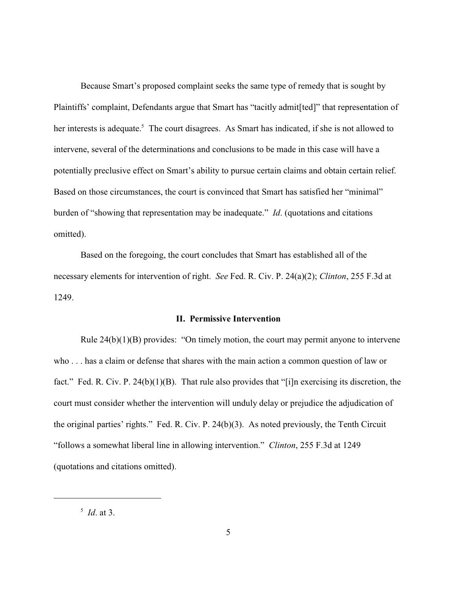Because Smart's proposed complaint seeks the same type of remedy that is sought by Plaintiffs' complaint, Defendants argue that Smart has "tacitly admit[ted]" that representation of her interests is adequate.<sup>5</sup> The court disagrees. As Smart has indicated, if she is not allowed to intervene, several of the determinations and conclusions to be made in this case will have a potentially preclusive effect on Smart's ability to pursue certain claims and obtain certain relief. Based on those circumstances, the court is convinced that Smart has satisfied her "minimal" burden of "showing that representation may be inadequate." *Id*. (quotations and citations omitted).

Based on the foregoing, the court concludes that Smart has established all of the necessary elements for intervention of right. *See* Fed. R. Civ. P. 24(a)(2); *Clinton*, 255 F.3d at 1249.

#### **II. Permissive Intervention**

Rule 24(b)(1)(B) provides: "On timely motion, the court may permit anyone to intervene who . . . has a claim or defense that shares with the main action a common question of law or fact." Fed. R. Civ. P. 24(b)(1)(B). That rule also provides that "[i]n exercising its discretion, the court must consider whether the intervention will unduly delay or prejudice the adjudication of the original parties' rights." Fed. R. Civ. P. 24(b)(3). As noted previously, the Tenth Circuit "follows a somewhat liberal line in allowing intervention." *Clinton*, 255 F.3d at 1249 (quotations and citations omitted).

 $^5$  *Id*. at 3.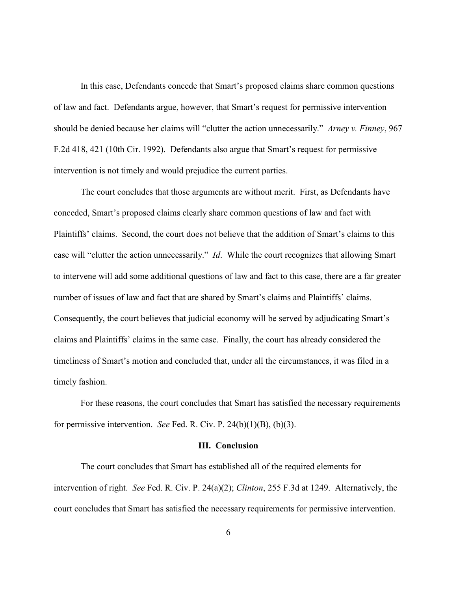In this case, Defendants concede that Smart's proposed claims share common questions of law and fact. Defendants argue, however, that Smart's request for permissive intervention should be denied because her claims will "clutter the action unnecessarily." *Arney v. Finney*, 967 F.2d 418, 421 (10th Cir. 1992). Defendants also argue that Smart's request for permissive intervention is not timely and would prejudice the current parties.

The court concludes that those arguments are without merit. First, as Defendants have conceded, Smart's proposed claims clearly share common questions of law and fact with Plaintiffs' claims. Second, the court does not believe that the addition of Smart's claims to this case will "clutter the action unnecessarily." *Id*. While the court recognizes that allowing Smart to intervene will add some additional questions of law and fact to this case, there are a far greater number of issues of law and fact that are shared by Smart's claims and Plaintiffs' claims. Consequently, the court believes that judicial economy will be served by adjudicating Smart's claims and Plaintiffs' claims in the same case. Finally, the court has already considered the timeliness of Smart's motion and concluded that, under all the circumstances, it was filed in a timely fashion.

For these reasons, the court concludes that Smart has satisfied the necessary requirements for permissive intervention. *See* Fed. R. Civ. P. 24(b)(1)(B), (b)(3).

#### **III. Conclusion**

The court concludes that Smart has established all of the required elements for intervention of right. *See* Fed. R. Civ. P. 24(a)(2); *Clinton*, 255 F.3d at 1249. Alternatively, the court concludes that Smart has satisfied the necessary requirements for permissive intervention.